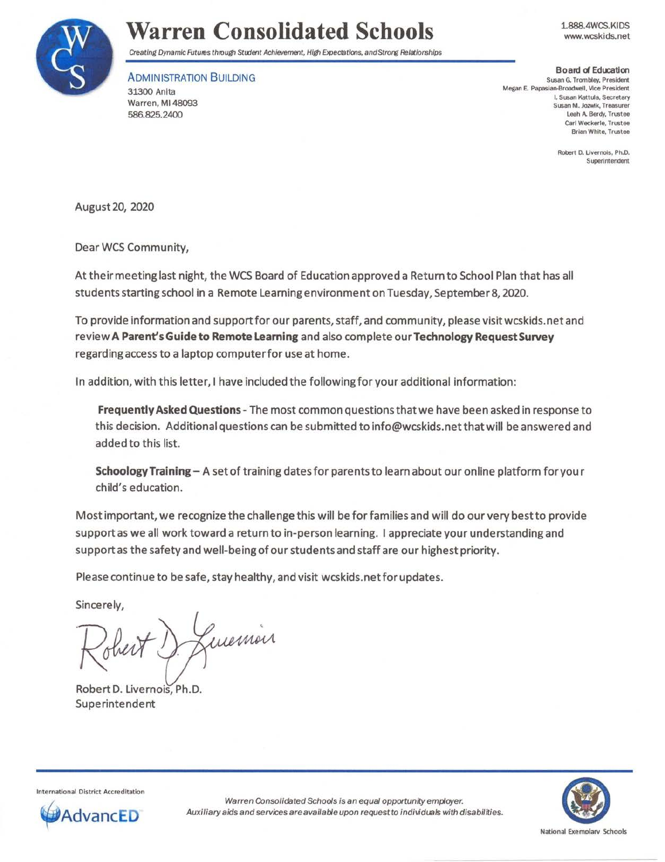

# **Warren Consolidated Schools**

1.888.4WCS.KIDS www.wcskids.net

Creating Dynamic Futures through Student Achievement, High Expectations, and Strorg Relationships

ADMINISTRATION BUILDING 31300 Anita Warren, Ml 48093 586.825.2400

**Board d Edu:atloo**  Susan G. Trombley. President Megan E. Papasian-Broadwell, Vice President I. Susan Kattula, Secretary **Susan M. Jozwik, Treasurer**  Leah A. Berdy, Trustee Carl Weckerle, Trustee Brian White, Trustee

> Robert D. Livernois, Ph.D. Superintendent

August 20, 2020

Dear WCS Community,

At their meeting last night, the WCS Board of Education approved a Return to School Plan that has all students starting school in a Remote learning environment on Tuesday, September 8, 2020.

To provide information and support for our parents, staff, and community, please visit wcskids.net and review **A Parent's Guide to Remote Leaming** and also complete our **Technology Request Survey**  regarding access to a laptop computer for use at home.

In addition, with this letter, I have included the following for your additional information:

**Frequently Asked Questions-** The most common questions that we have been asked in response to this decision. Additional questions can be submitted to info@wcskids.net that will be answered and added to this list.

**SchoologyTraining-** A set of training dates for parents to learn about our online platform for your child's education.

Most important, we recognize the challenge this will be for families and will do our very best to provide support as we all work toward a return to in-person learning. I appreciate your understanding and support as the safety and well-being of our students and staff are our highest priority.

Please continue to be safe, stay healthy, and visit wcskids.net for updates.

Sincerely,

sincerely,<br>Robert D., Luemon

Robert D. Livernois, Ph.D. Superintendent



International District Accreditation



Warren Consolidated Schools is an equal opportunity employer. **ADVANCED** Auxiliary aids and services are available upon request to individuals with disabilities.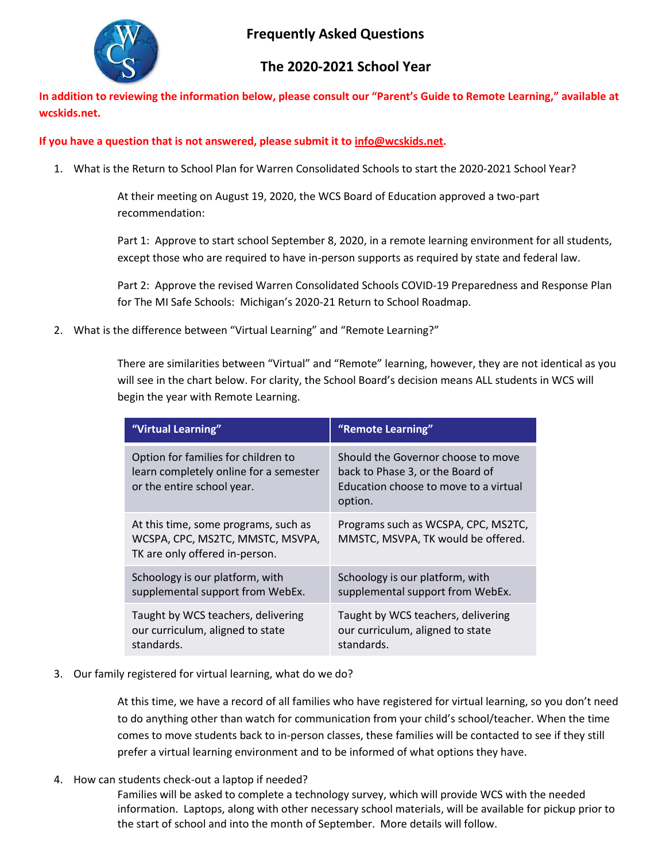

# **Frequently Asked Questions**

# **The 2020-2021 School Year**

**In addition to reviewing the information below, please consult our "Parent's Guide to Remote Learning," available at wcskids.net.**

## **If you have a question that is not answered, please submit it to [info@wcskids.net.](mailto:info@wcskids.net)**

1. What is the Return to School Plan for Warren Consolidated Schools to start the 2020-2021 School Year?

At their meeting on August 19, 2020, the WCS Board of Education approved a two-part recommendation:

Part 1: Approve to start school September 8, 2020, in a remote learning environment for all students, except those who are required to have in-person supports as required by state and federal law.

Part 2: Approve the revised Warren Consolidated Schools COVID-19 Preparedness and Response Plan for The MI Safe Schools: Michigan's 2020-21 Return to School Roadmap.

2. What is the difference between "Virtual Learning" and "Remote Learning?"

There are similarities between "Virtual" and "Remote" learning, however, they are not identical as you will see in the chart below. For clarity, the School Board's decision means ALL students in WCS will begin the year with Remote Learning.

| "Virtual Learning"                                                                                          | "Remote Learning"                                                                                                          |
|-------------------------------------------------------------------------------------------------------------|----------------------------------------------------------------------------------------------------------------------------|
| Option for families for children to<br>learn completely online for a semester<br>or the entire school year. | Should the Governor choose to move<br>back to Phase 3, or the Board of<br>Education choose to move to a virtual<br>option. |
| At this time, some programs, such as<br>WCSPA, CPC, MS2TC, MMSTC, MSVPA,<br>TK are only offered in-person.  | Programs such as WCSPA, CPC, MS2TC,<br>MMSTC, MSVPA, TK would be offered.                                                  |
| Schoology is our platform, with<br>supplemental support from WebEx.                                         | Schoology is our platform, with<br>supplemental support from WebEx.                                                        |
| Taught by WCS teachers, delivering<br>our curriculum, aligned to state<br>standards.                        | Taught by WCS teachers, delivering<br>our curriculum, aligned to state<br>standards.                                       |

3. Our family registered for virtual learning, what do we do?

At this time, we have a record of all families who have registered for virtual learning, so you don't need to do anything other than watch for communication from your child's school/teacher. When the time comes to move students back to in-person classes, these families will be contacted to see if they still prefer a virtual learning environment and to be informed of what options they have.

4. How can students check-out a laptop if needed?

Families will be asked to complete a technology survey, which will provide WCS with the needed information. Laptops, along with other necessary school materials, will be available for pickup prior to the start of school and into the month of September. More details will follow.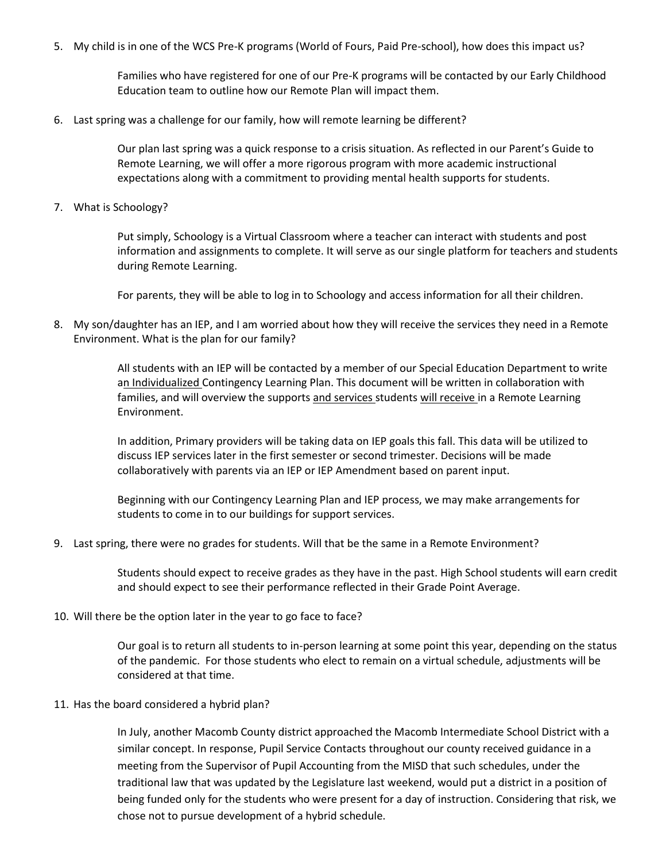5. My child is in one of the WCS Pre-K programs (World of Fours, Paid Pre-school), how does this impact us?

Families who have registered for one of our Pre-K programs will be contacted by our Early Childhood Education team to outline how our Remote Plan will impact them.

6. Last spring was a challenge for our family, how will remote learning be different?

Our plan last spring was a quick response to a crisis situation. As reflected in our Parent's Guide to Remote Learning, we will offer a more rigorous program with more academic instructional expectations along with a commitment to providing mental health supports for students.

7. What is Schoology?

Put simply, Schoology is a Virtual Classroom where a teacher can interact with students and post information and assignments to complete. It will serve as our single platform for teachers and students during Remote Learning.

For parents, they will be able to log in to Schoology and access information for all their children.

8. My son/daughter has an IEP, and I am worried about how they will receive the services they need in a Remote Environment. What is the plan for our family?

> All students with an IEP will be contacted by a member of our Special Education Department to write an Individualized Contingency Learning Plan. This document will be written in collaboration with families, and will overview the supports and services students will receive in a Remote Learning Environment.

In addition, Primary providers will be taking data on IEP goals this fall. This data will be utilized to discuss IEP services later in the first semester or second trimester. Decisions will be made collaboratively with parents via an IEP or IEP Amendment based on parent input.

Beginning with our Contingency Learning Plan and IEP process, we may make arrangements for students to come in to our buildings for support services.

9. Last spring, there were no grades for students. Will that be the same in a Remote Environment?

Students should expect to receive grades as they have in the past. High School students will earn credit and should expect to see their performance reflected in their Grade Point Average.

10. Will there be the option later in the year to go face to face?

Our goal is to return all students to in-person learning at some point this year, depending on the status of the pandemic. For those students who elect to remain on a virtual schedule, adjustments will be considered at that time.

### 11. Has the board considered a hybrid plan?

In July, another Macomb County district approached the Macomb Intermediate School District with a similar concept. In response, Pupil Service Contacts throughout our county received guidance in a meeting from the Supervisor of Pupil Accounting from the MISD that such schedules, under the traditional law that was updated by the Legislature last weekend, would put a district in a position of being funded only for the students who were present for a day of instruction. Considering that risk, we chose not to pursue development of a hybrid schedule.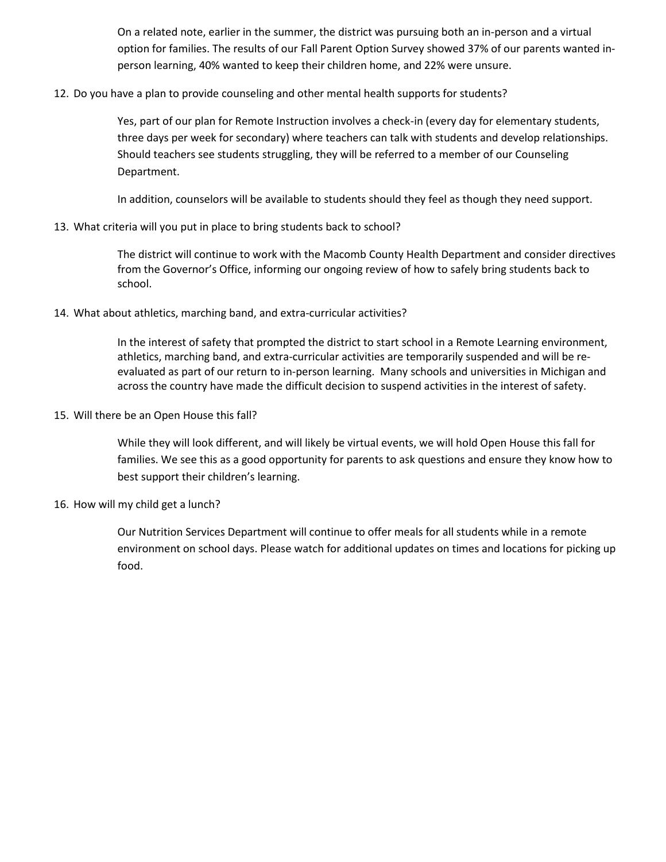On a related note, earlier in the summer, the district was pursuing both an in-person and a virtual option for families. The results of our Fall Parent Option Survey showed 37% of our parents wanted inperson learning, 40% wanted to keep their children home, and 22% were unsure.

12. Do you have a plan to provide counseling and other mental health supports for students?

Yes, part of our plan for Remote Instruction involves a check-in (every day for elementary students, three days per week for secondary) where teachers can talk with students and develop relationships. Should teachers see students struggling, they will be referred to a member of our Counseling Department.

In addition, counselors will be available to students should they feel as though they need support.

13. What criteria will you put in place to bring students back to school?

The district will continue to work with the Macomb County Health Department and consider directives from the Governor's Office, informing our ongoing review of how to safely bring students back to school.

14. What about athletics, marching band, and extra-curricular activities?

In the interest of safety that prompted the district to start school in a Remote Learning environment, athletics, marching band, and extra-curricular activities are temporarily suspended and will be reevaluated as part of our return to in-person learning. Many schools and universities in Michigan and across the country have made the difficult decision to suspend activities in the interest of safety.

15. Will there be an Open House this fall?

While they will look different, and will likely be virtual events, we will hold Open House this fall for families. We see this as a good opportunity for parents to ask questions and ensure they know how to best support their children's learning.

16. How will my child get a lunch?

Our Nutrition Services Department will continue to offer meals for all students while in a remote environment on school days. Please watch for additional updates on times and locations for picking up food.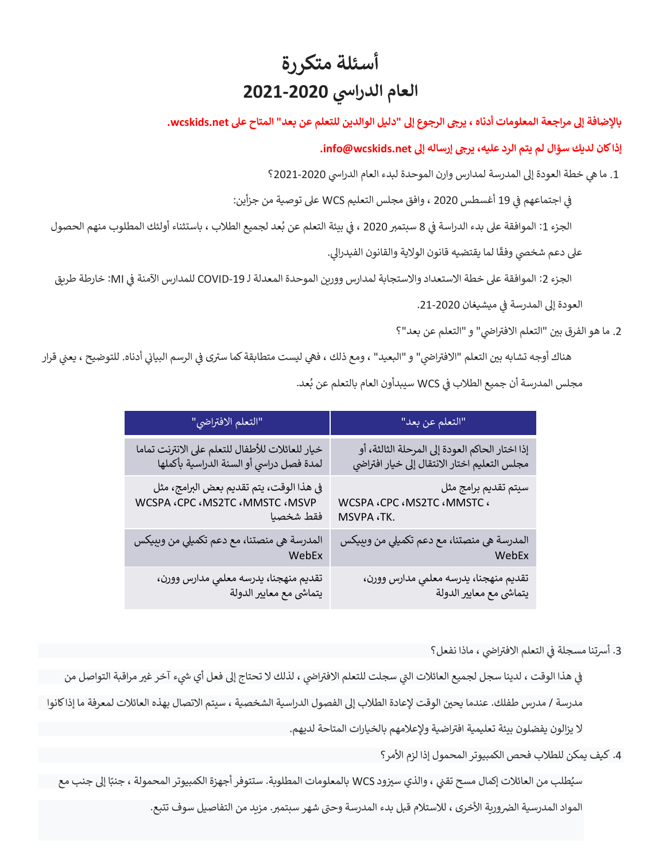# **أسئلة متكررة يس العام الدرا 2021-2020**

# بالإضافة إلى مراجعة المعلومات أدناه ، يرجى الرجوع إلى "دليل الوالدين للتعلم عن بعد" المتاح على wcskids.net.

## **إذا كان لديك سؤال لم يتم الرد عليه، يرىج إرساله إىل net.wcskids@info.**

1. ما هي خطة العودة إلى المدرسة لمدارس وارن الموحدة لبدء العام الدراسي 2020-2021؟

ي ֦֧֦֧֦֧֦֧ׅׅׅׅׅ֚֚֚֚֡֜֓֡֜֜֓֡֡֜֓֡֡֡֬֜֓֡֡֬֜֓֡֬֜֓֡֬ اجتماعهم ف ف 19 أغسطس 2020 ، وافق مجلس التعليم WCS عىل توصية من جزأين: ي

الجزء 1: الموافقة على بدء الدراسة في 8 سبتمبر 2020 ، في بيئة التعلم عن بُعد لجميع الطلاب ، باستثناء أولئك المطلوب منهم الحصول ي ֦֧֦֧֦֧֦֧֦֧֦֧֧֦֧֧֦֧֜֜֓֓֡֜֓֓֜֜֓֜֜֓֕ ُ ي ֦֧֦֧֦֧֦֧֦֧֜֜֜

على دعم شخصي وفقًا لما يقتضيه قانون الولاية والقانون الفيدرالي.

الجزء 2: الموافقة على خطة الاستعداد والاستجابة لمدارس وورين الموحدة المعدلة لـ COVID-19 للمدارس الآمنة في MI: خارطة طريق ي ֦֧֦֧֦֧֚֚֚֚֡֝֜֡֜

> العودة إلى المدرسة في ميشيغان 2020-21. ي ֦֧֦֧֦֧֦֧֦֧֦֧

#### 2. ما هو الفرق بين "التعلم الافتراضي" و "التعلم عن بعد"؟ ا

֦֧֦֧֦֧֦֧֦֧֚֚֚֡֜֜֜֜֜֜֜֜֜

هناك أوجه تشابه بين التعلم "الافتراضي" و "البعيد" ، ومع ذلك ، فهي ليست متطابقة كما سترى في الرسم البياني أدناه. للتوضيح ، يعني قرار ي ي ֦֧֦֧֦֧֚֚֚֚֚֡֝֜֡֜ ا , ي ֦֧֢֦֧֦֧֚֚֚֚֡֝֜֜֜֜֜֜֜֜ مجلس المدرسة أن جميع الطلاب في WCS سيبدأون العام بالتعلم عن بُعد. ُ

| التعلم الافتراضي"                                                                                               | "التعلم عن بعد"                                   |
|-----------------------------------------------------------------------------------------------------------------|---------------------------------------------------|
| خيار للعائلات للأطفال للتعلم على الانترنت تماما                                                                 | إذا اختار الحاكم العودة إلى المرحلة الثالثة، أو   |
| لمدة فصل دراسي أو السنة الدراسية بأكملها                                                                        | مجلس التعليم اختار الانتقال إلى خيار افتراضي      |
| في هذا الوقت، يتم تقديم بعض البرامج، مثل                                                                        | سيتم تقديم برامج مثل                              |
| WCSPA <cpc <mmstc="" <ms2tc="" <msvp<="" td=""><td>WCSPA <cpc <<="" <mmstc="" <ms2tc="" td=""></cpc></td></cpc> | WCSPA <cpc <<="" <mmstc="" <ms2tc="" td=""></cpc> |
| فقط شخصيا                                                                                                       | MSVPA .TK.                                        |
| المدرسة هي منصتنا، مع دعم تكميلي من وببيكس                                                                      | المدرسة هي منصتنا، مع دعم تكميلي من وببيكس        |
| WebEx                                                                                                           | WebEx                                             |
| تقديم منهجنا، يدرسه معلمي مدارس وورن،                                                                           | تقديم منهجنا، يدرسه معلمي مدارس وورن،             |
| يتماشى مع معايير الدولة                                                                                         | يتماشى مع معايير الدولة                           |

3. أسرتنا مسجلة في التعلم الافتراضي ، ماذا نفعل؟ ا ي ֦֧֦֧֦֧֦֧֦֧֦֧֦֛֚֚֚֚֡֝֜֜֜֓֡֜֜֜֜֜֜

في هذا الوقت ، لدينا سجل لجميع العائلات التي سجلت للتعلم الافتراضي ، لذلك لا تحتاج إلى فعل أي شيء آخر غير مراقبة التواصل من ا ֦֧֦֧֦֧֦֧֦֧֦֧֦֛֚֚֚֚֡֝֜֜֜֓֡֜֜֜֜֜֜

مدرسة / مدرس طفلك. عندما يحين الوقت لإعادة الطلاب إلى الفصول الدراسية الشخصية ، سيتم الاتصال بهذه العائلات لمعرفة ما إذا كانوا

لا يزالون يفضلون بيئة تعليمية افتراضية ولإعلامهم بالخيارات المتاحة لديهم.

4. كيف يمكن للطلاب فحص الكمبيوتر المحمول إذا لزم الأمر؟

سيُطلب من العائلات إكمال مسح تقني ، والذي سيزود WCS بالمعلومات المطلوبة. ستتوفر أجهزة الكمبيوتر المحمولة ، جنبًا إلى جنب مع ُ

المواد المدرسية الضرورية الأخرى ، للاستلام قبل بدء المدرسة وحتى شهر سبتمبر. مزيد من التفاصيل سوف تتبع.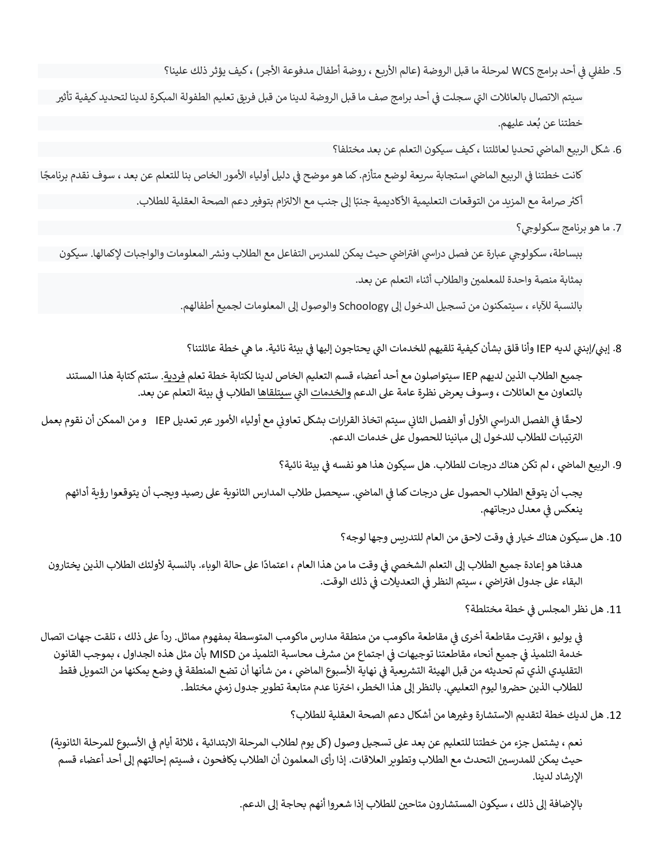5. طفلي في أحد برامج WCS لمرحلة ما قبل الروضة (عالم الأربع ، روضة أطفال مدفوعة الأجر ) ، كيف يؤثر ذلك علينا؟ ֦֧֦֧֦֧֦֧֦֧֦֧֧֦֧֦֧֚֚֚֡֜֜֜֓֜֜֜֜֜֜֜֞֜֜

سيتم الاتصال بالعائلات التي سجلت في أحد برامج صف ما قبل الروضة لدينا من قبل فريق تعليم الطفولة المبكرة لدينا لتحديد كيفية تأثير ي ֦֧֦֧֦֧֦֧֦֧ׅׅׅ֪֪ׅ֚֚֚֚֡֜֜֜֜֓֡֡֜֓֡֡֡֜֓֡֡֜֡֜֓֡֡֡֬ خطتنا عن بُعد عليهم. ُ

6. شكل الربيع الماضي تحديا لعائلتنا ، كيف سيكون التعلم عن بعد مختلفا؟

كانت خطتنا في الربيع الماضي استجابة سريعة لوضع متأزم. كما هو موضح في دليل أولياء الأمور الخاص بنا للتعلم عن بعد ، سوف نقدم برنامجًا ֦֧֦֧֦֧֦֧֦֧֦֧֦֧֦֧֧֦֧֧֦֧֜֜֓֓֜֜֜֓ ي ֦֧֦֧֦֧֦֧֦֧ׅׅׅ֪֪ׅ֚֚֚֚֡֜֜֜֜֓֡֡֜֓֡֡֡֜֓֡֡֜֡֜֓֡֡֡֬

> : أكثر صرامة مع المزيد من التوقعات التعليمية الأكاديمية جنبًا إلى جنب مع الالتزام بتوفير دعم الصحة العقلية للطلاب. :<br>ا

> > 7. ما هو برنامج سكولوجي؟

ببساطة، سكولوجي عبارة عن فصل دراسي افتراضي حيث يمكن للمدرس التفاعل مع الطلاب ونشر المعلومات والواجبات لإكمالها. سيكون ي ا بمثابة منصة واحدة للمعلمين والطلاب أثناء التعلم عن بعد.

بالنسبة لآلباء ، سيتمكنون من تسجيل الدخول إىل Schoology والوصول إىل المعلومات لجميع أطفالهم.

8. إبني/إبنتي لديه IEP وأنا قلق بشأن كيفية تلقيهم للخدمات التي يحتاجون إليها في بيئة نائية. ما هي خطة عائلتنا؟ ي ֦֧֢֦֧֦֧֦֧֚֚֡֜֜֜

جميع الطالب الذين لديهم IEP سيتواصلون مع أحد أعضاء قسم التعليم الخاص لدينا لكتابة خطة تعلم فردية. ستتمكتابة هذا المستند بالتعاون مع العائلات ، وسوف يعرض نظرة عامة على الدعم <u>والخدمات</u> التي <u>سيتلقاها</u> الطلاب في بيئة التعلم عن بعد. ي ֦֧֦֧֦֧֦֧֦֧֦֧֚֚֡֜֜֓֓֡֜֜֓֡֡֜֡֜֓֡֡֬֜

لاحقًا في الفصل الدراسي الأول أو الفصل الثاني سيتم اتخاذ القرارات بشكل تعاوني مع أولياء الأمور عبر تعديل IEP و من الممكن أن نقوم بعمل ي .<br>ذ .<br>الترتيبات للطلاب للدخول إلى مبانينا للحصول على خدمات الدعم.

> 9. الربيع الماضي ، لم تكن هناك درجات للطلاب. هل سيكون هذا هو نفسه في بيئة نائية؟ ي ֦֧֢֦֧֦֧֦֧֦֧֦֧֦֧ׅ֪֪ׅ֦֛֚֚֚֡֜֜֜֜֜֜֜֜֜֜֝֜

يجب أن يتوقع الطلاب الحصول على درجات كما في الماضي. سيحصل طلاب المدارس الثانوية على رصيد ويجب أن يتوقعوا رؤية أدائهم ي .<br>ذ ينعكس في معدل درجاتهم. ي ֧֦֧֢֦֧֦֧֚֚֡֝֜֜֜

> 10. هل سيكون هناك خيار في وقت لاحق من العام للتدريس وجها لوجه؟ ļ

ًهدفنا هو إعادة جميع الطلاب إلى التعلم الشخصي في وقت ما من هذا العام ، اعتمادًا على حالة الوباء. بالنسبة لأولئك الطلاب الذين يختارون .<br>. البقاء على جدول افتراضي ، سيتم النظر في التعديلات في ذلك الوقت. .<br>. ي i ا

> 11. هل نظر المجلس في خطة مختلطة؟ ֦֧֢֦֧֦֧֚֚֚֡֝֜֜֜

.<br>في يوليو ، اقتربت مقاطعة أخرى في مقاطعة ماكومب من منطقة مدارس ماكومب المتوسطة بمفهوم مماثل. رداً على ذلك ، تلقت جهات اتصال ي ì ي ֦֧֢֦֧֦֧֦֧֚֚֡֜֜֜ خدمة التلميذ في جميع أنحاء مقاطعتنا توجيهات في اجتماع من مشرف محاسبة التلميذ من MISD بأن مثل هذه الجداول ، بموجب القانون ي ֦֧֢֦֧֦֧֦֧֢ׅׅ֚֚֚֡֜֜֜֜֡֜֓֡֡֜֓֡֡֡֜֓֡֬ i التقليدي الذي تم تحديثه من قبل الهيئة التشريعية في نهاية الأسبوع الماضي ، من شأنها أن تضع المنطقة في وضع يمكنها من التمويل فقط ي ֦֧֦֧֦֧֦֧֦֧֦֧֚֚֡֜֜֓֓֡֜֜֓֡֡֜֡֜֓֡֡֬֜ ي ļ للطلاب الذين حضروا ليوم التعليمي. بالنظر إلى هذا الخطر، اخترنا عدم متابعة تطوير جدول زمني مختلط.

12. هل لديك خطة لتقديم الاستشارة وغيرها من أشكال دعم الصحة العقلية للطلاب؟

نعم ، يشتمل جزء من خطتنا للتعليم عن بعد على تسجيل وصول (كل يوم لطلاب المرحلة الابتدائية ، ثلاثة أيام في الأسبوع للمرحلة الثانوية) ي ֧֦֧֢֦֧֦֧֦֧֚֚֡֜֜ حيث يمكن للمدرسين التحدث مع الطلاب وتطوير العلاقات. إذا رأى المعلمون أن الطلاب يكافحون ، فسيتم إحالتهم إلى أحد أعضاء قسم اإلرشاد لدينا.

بالإضافة إلى ذلك ، سيكون المستشارون متاحين للطلاب إذا شعروا أنهم بحاجة إلى الدعم.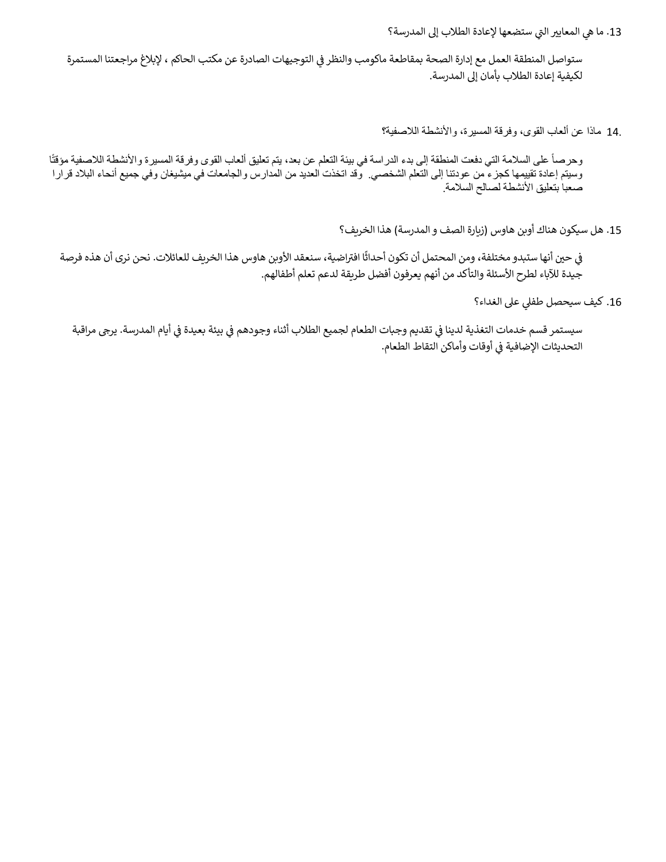13. ما هي المعايير التي ستضعها لإعادة الطلاب إلى المدرسة؟

ستواصل المنطقة العمل مع إدارة الصحة بمقاطعة ماكومب والنظر في التوجيهات الصادرة عن مكتب الحاكم ، لإبلاغ مراجعتنا المستمرة ي ֦֧֦֧֦֧֦֧֦֧֦֧֦֧֧֦֧֧֦֧֜֜֓֓֡֓֜֜֓֜֜֓֓֡֬ لكيفية إعادة الطالب بأمان إىل المدرسة.

14. ماذا عن ألعاب القوى، وفرقة المسيرة، واألنشطة الالصفية؟

وحرصاً على السلامة التي دفعت المنطقة إلى بدء الدراسة في بيئة التعلم عن بعد، يتم تعليق ألعاب القوى وفرقة المسيرة والأنشطة اللاصفية مؤقتًا وسيتم إعادة تقييمها كجزء من عودتنا إلى التعلم الشخصي. وقد اتخذت العديد من المدارس والجامعات في ميشيغان وفي جميع أنحاء البالد قرارا صعباً بتعليق الأنشطة لصالح السلامة.

15. هل سيكون هناك أوبن هاوس (زيارة الصف و المدرسة) هذا الخريف؟

في حين أنها ستبدو مختلفة، ومن المحتمل أن تكون أحداثًا افتراضية، سنعقد الأوبن هاوس هذا الخريف للعائلات. نحن نرى أن هذه فرصة ֦֧֢֦֧֦֧֦֧֚֚֡֜֜֜ جيدة للآباء لطرح الأسئلة والتأكد من أنهم يعرفون أفضل طريقة لدعم تعلم أطفالهم.

16. كيف سيحصل طفلي على الغداء؟

سيستمر قسم خدمات التغذية لدينا في تقديم وجبات الطعام لجميع الطلاب أثناء وجودهم في بيئة بعيدة في أيام المدرسة. يرجى مراقبة ي ֧֦֧֢֦֧֦֧֦֧֚֚֡֜֜֜ ي ֧֦֧֢֦֧֦֧֦֧֚֚֡֝֜֜֜֜֜֜֜ ي ֦֧֦֧֦֧֢֦֧֦֧֦֧֜֜ التحديثات الإضافية في أوقات وأماكن التقاط الطعام. ي į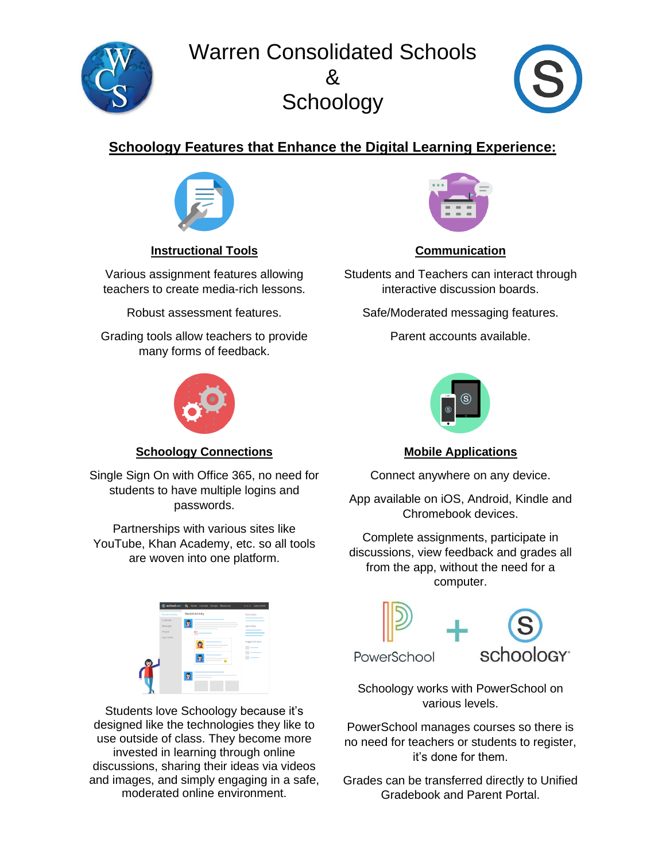Warren Consolidated Schools  $8<sub>k</sub>$ **Schoology** 



# **Schoology Features that Enhance the Digital Learning Experience:**



**Instructional Tools**

Various assignment features allowing teachers to create media-rich lessons.

Robust assessment features.

Grading tools allow teachers to provide many forms of feedback.



# **Schoology Connections**

Single Sign On with Office 365, no need for students to have multiple logins and passwords.

Partnerships with various sites like YouTube, Khan Academy, etc. so all tools are woven into one platform.

|    |                 | Sachoology <sup>-</sup> Q Heme Courses Groups Resources | o o o Jane Smith |
|----|-----------------|---------------------------------------------------------|------------------|
|    | Recent Activity | <b>Recent Activity</b>                                  | Reminders        |
|    | Calendar        |                                                         |                  |
|    | Messages        |                                                         | Upcoming         |
|    | People          |                                                         |                  |
| œ. | App Center      | m                                                       | Suggested Apps   |
|    |                 |                                                         |                  |

Students love Schoology because it's designed like the technologies they like to use outside of class. They become more invested in learning through online discussions, sharing their ideas via videos and images, and simply engaging in a safe, moderated online environment.



# **Communication**

Students and Teachers can interact through interactive discussion boards.

Safe/Moderated messaging features.

Parent accounts available.



# **Mobile Applications**

Connect anywhere on any device.

App available on iOS, Android, Kindle and Chromebook devices.

Complete assignments, participate in discussions, view feedback and grades all from the app, without the need for a computer.



Schoology works with PowerSchool on various levels.

PowerSchool manages courses so there is no need for teachers or students to register, it's done for them.

Grades can be transferred directly to Unified Gradebook and Parent Portal.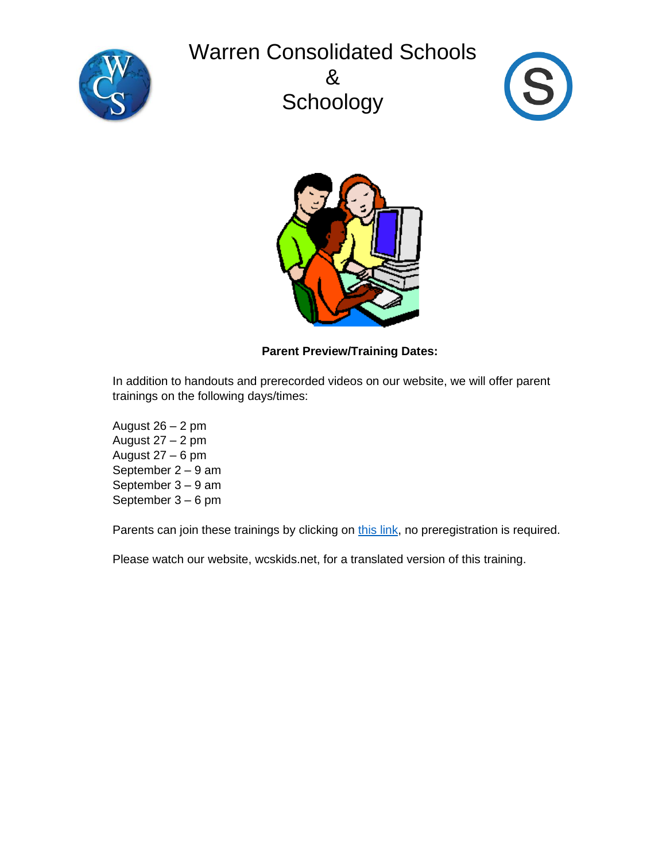# Warren Consolidated Schools







# **Parent Preview/Training Dates:**

In addition to handouts and prerecorded videos on our website, we will offer parent trainings on the following days/times:

August  $26 - 2$  pm August 27 – 2 pm August 27 – 6 pm September 2 – 9 am September 3 – 9 am September 3 – 6 pm

Parents can join these trainings by clicking on [this link,](https://wcskids.webex.com/meet/fkyewski) no preregistration is required.

Please watch our website, wcskids.net, for a translated version of this training.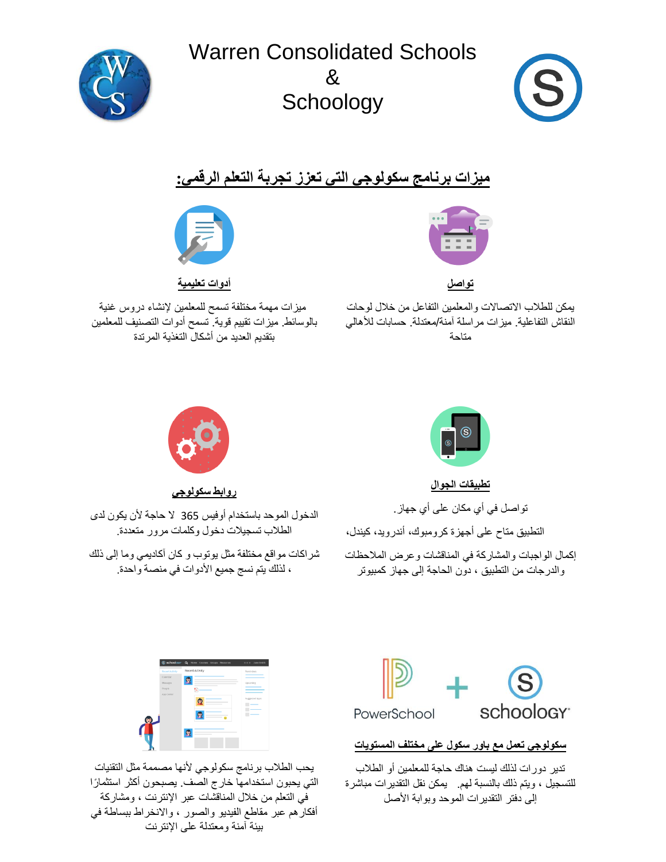Warren Consolidated Schools  $8<sub>k</sub>$ **Schoology** 



# **ميزات برنامج سكولوجي التي تعزز تجربة التعلم الرقمي:**



**تواصل** 

يمكن للطالب االتصاالت والمعلمين التفاعل من خالل لوحات النقاش التفاعلية. ميزات مراسلة آمنة/معتدلة. حسابات لألهالي متاحة



**أدوات تعليمية** 

ميزات مهمة مختلفة تسمح للمعلمين إلنشاء دروس غنية بالوسائط. ميزات تقييم قوية. تسمح أدوات التصنيف للمعلمين بتقديم العديد من أشكال التغذية المرتدة



**تطبيقات الجوال** 

تواصل في أي مكان على أي جهاز. التطبيق متاح على أجهزة كرومبوك، أندرويد، كيندل، إكمال الواجبات والمشاركة في المناقشات وعرض المالحظات والدرجات من التطبيق ، دون الحاجة إلى جهاز كمبيوتر



**روابط سكولوجي** 

الدخول الموحد باستخدام أوفيس 365 ال حاجة ألن يكون لدى الطالب تسجيالت دخول وكلمات مرور متعددة.

شراكات مواقع مختلفة مثل يوتوب و كان آكاديمي وما إلى ذلك ، لذلك يتم نسج جميع األدوات في منصة واحدة.



**سكولوجي تعمل مع باور سكول على مختلف المستويات** 

تدير دورات لذلك ليست هناك حاجة للمعلمين أو الطالب للتسجيل ، ويتم ذلك بالنسبة لهم. يمكن نقل التقديرات مباشرة إلى دفتر التقديرات الموحد وبوابة األصل



يحب الطالب برنامج سكولوجي ألنها مصممة مثل التقنيات التي يحبون استخدامها خارج الصف. يصبحون أكثر استثما ًرا في التعلم من خالل المناقشات عبر اإلنترنت ، ومشاركة أفكارهم عبر مقاطع الفيديو والصور ، واالنخراط ببساطة في بيئة آمنة ومعتدلة على اإلنترنت